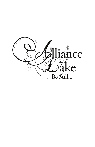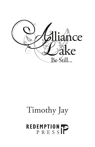

# Timothy Jay

# REDEMPTION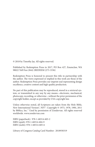© 2018 by Timothy Jay. All rights reserved.

Published by Redemption Press in 2017, PO Box 427, Enumclaw, WA 98022 Toll Free (844) 2REDEEM (273-3336)

Redemption Press is honored to present this title in partnership with the author. The views expressed or implied in this work are those of the author. Redemption Press provides our imprint seal representing design excellence, creative content and high quality production.

No part of this publication may be reproduced, stored in a retrieval system, or transmitted in any way by any means—electronic, mechanical, photocopy, recording, or otherwise—without the prior permission of the copyright holder, except as provided by USA copyright law.

Unless otherwise noted, all Scriptures are taken from the Holy Bible, New International Version®, NIV®. Copyright © 1973, 1978, 1984, 2011 by Biblica, Inc.™ Used by permission of Zondervan. All rights reserved worldwide. www.zondervan.com

ISBN (paperback): 978-1-68314-603-2 ISBN (epub): 978-1-68314-604-9 ISBN (mobi): 978-1-68314-605-6

Library of Congress Catalog Card Number: 2018930319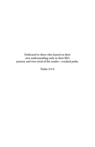**Dedicated to those who leaned on their own understanding early in their life's journey and were tired of the results—crooked paths.**

**Psalm 3:5-6**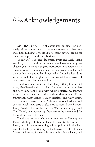#### **ZAcknowledgements**

MY FIRST NOVEL IS all about life's journey. I can definitely affirm that writing is an extreme journey that has been incredibly fulfilling. I would like to thank several people for their love, support, and contributions.

To my wife, Sue, and daughters, Lydia and Leah, thank you for your love and encouragement as I was achieving my chapter goals. Also, it was great motivation to celebrate with a quarter-pound hamburger when I was a quarter complete and then with a half-pound hamburger when I was halfway done with the book. I am so glad I decided to switch incentives so I could keep control of my waistline.

Thank you to my mom and dad, along with my brother and sister, Troy Tressel and Carla Ford, for being four early readers and very important people with whom I started my journey. Also, I cannot thank my other early readers enough: Diane Sturdavant, Kathy Baugher, Tracy Hartlage, and Gary Smith. A very special thanks to Suzie Pinkelman who helped read and edit my "final" manuscript. I also need to thank Barrie Rhodes, Kathy Baugher, Joe Sturdavant, Don Waters (my car guy), and Troy Tressel, who opened up their lives to be interviewed for fictional purposes, of course.

Thank you to those who are on my team at Redemption Press, including Niki Manbeck and Hannah McKenzie, Chris Holtz, and also the outstanding editing polish of Paul Miller. Next for the help in bringing my book cover to reality, I thank Chelsea Schroeder, Colten Schroeder, Christine Schaller, and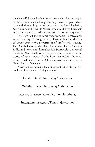then Jamie Koluch, who shot the pictures and worked her magic. At the last moments before publishing, I received great advice to rework the wording on the back cover from Linda Frederick, Sarah Beard, and Amanda Weber (who also did my headshots and set up my social media platforms) - Thank you very much!

The Lord led me to some very wonderful professional writers and experts along the way. First, author and director of Taylor University's Department of Professional Writing, Dr. Dennis Hensley; also Rene Gutteridge, Jen L. Stephens Riffle, and writer and filmmaker Rik Swartzwelder. A special thanks to Alan Gutchess for his passion and expertise on the stories of early America. Lastly, I am thankful for the experience I had at the Breathe Christian Writers Conference in Grand Rapids, Michigan.

Please visit my social media for more of the backstory of this book and its characters. Enjoy the novel.

Email: Tim@TimothyJayAuthor.com

Website: www.TimothyJayAuthor.com

Facebook: facebook.com/AuthorTimothyJay

Instagram: instagram/TimothyJayAuthor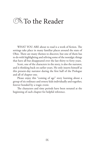#### **SNS** To the Reader

WHAT YOU ARE about to read is a work of fiction. The settings take place in many familiar places around the state of Ohio. There are many themes to discover, but one of them has to do with highlighting and reliving some of the nostalgic things that have all but disappeared over the last thirty to forty years.

Scott, one of the characters in the story, is also the narrator, and is thinking back on earlier years. He only inserts himself as this present-day narrator during the first half of the Prologue and all of chapter one.

Please enjoy this "coming of age" story learning about a group of six ordinary and ornery kids individually and together, forever bonded by a tragic event.

The characters and time periods have been notated at the beginning of each chapter for helpful reference.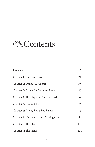### **Executents**

| Prologue                                | 15  |
|-----------------------------------------|-----|
| Chapter 1: Innocence Lost               | 21  |
| Chapter 2: Daddy's Little Star          | 33  |
| Chapter 3: Coach E.'s Secret to Success | 45  |
| Chapter 4: The Happiest Place on Earth? | 57  |
| Chapter 5: Reality Check                | 75  |
| Chapter 6: Giving PKs a Bad Name        | 83  |
| Chapter 7: Muscle Cars and Making Out   | 99  |
| Chapter 8: The Plan                     | 111 |
| Chapter 9: The Prank                    | 121 |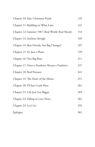| Chapter 10: Epic Christmas Prank                 | 135 |
|--------------------------------------------------|-----|
| Chapter 11: Building on What Lasts               | 141 |
| Chapter 12: Summer 1987 (Real World: Real Shock) | 153 |
| Chapter 13: Anchors Aweigh                       | 169 |
| Chapter 14: Best Friends, but Big Changes!       | 187 |
| Chapter 15: It's Just a Phase                    | 199 |
| Chapter 16: Two Big Boys                         | 211 |
| Chapter 17: Once a Prankster Always a Prankster  | 227 |
| Chapter 18: Real Pressure                        | 241 |
| Chapter 19: The Heart of the Matter              | 251 |
| Chapter 20: I'll Just Crash Here                 | 261 |
| Chapter 21: Life Just Got Bigger                 | 269 |
| Chapter 22: Falling in Love Twice                | 281 |
| Chapter 23: Let's Go                             | 295 |
| Epilogue                                         | 301 |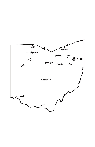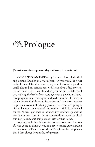## **Exprologue**

#### **(Scott's narration—present day and story in the future)**

COMFORT CAN TAKE many forms and is very individual and unique. Soaking in a warm bath for you would be a wet coffin for me. Give this country boy a walk around a pond or small lake and my spirit is renewed. I can always find my center, my inner voice, that place that gives me peace. Whether I was walking the banks forty years ago with a pole in my hand, dropping a line and moving around to the next hopeful spot, or taking time to find those perfect stones to skip across the water to get the most out of defying gravity, I never minded going in circles. I always knew where I was heading—right back where I started. When I got back to the start, my time was up and the session was over. I had my inner conversation and worked it all out. My journey was complete, at least for that round.

Anyway, back then it was time to race home and find out if I was going to drink down, in a never-ending gulp, a gallon of the Country Time Lemonade or Tang from the full pitcher that Mom always kept in the refrigerator.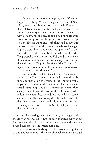(Excuse me, but please indulge my rant. Whatever happened to Tang? Whatever happened to one of NA-SA's greatest contributions to all of mankind? Sure, all the GPS technologies, cordless tools, microwave ovens, and even memory foam are useful and very much still with us today, but the decade and a half of gluttonous Tang consumption by the generation that grew up on Schoolhouse Rock and Tuff Skins had to dry out and come down from the orange crystal-powder sugar high we were all on. Did I miss the episode of Miami Vice where Crockett and Tubbs seized control of the Tang crystal production in the U.S., and in one epic slow-motion automatic-gun death-spray battle ended the addiction to Tang for the kids of the 70s and 80s, replaced later by another addiction when we discovered Starbucks' Caramel Macchiato?

But seriously, what happened to us? We were too young in the 70s to understand the climate of the culture, and then again too young in the 90s for anyone to pay attention to us, when the subtle destruction was already happening. The 80s — this was the decade that changed my life and the lives of those I knew. I sadly reflect now about those who didn't realize how it came about, especially after seeing the Huxtables settle all their life's issues in a neat and tidy way until the next Thursday's must-see TV on NBC at 8:00 p.m., when they did it again.)

Okay, after getting that off my chest, let me get back to the story of Alliance Lake. Even though it hosted many of my fondest memories, there were also many secrets and tears that poured into those serene waters over time.

Dotted across our landscape are little oases of magnificent beauty and wonder. It is this very place where animals would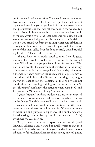go if they could take a vacation. They would come here to my favorite lake—Alliance Lake. It was the type of lake that was just big enough to allow you to get lost in its various coves. It was that picturesque lake that was set way back in the woods. You could drive to it, but you had better slow down the last couple of miles to avoid a trip to the local mechanic for a new exhaust system or front-end alignment. Nature created the initial lake when it was carved out from the rushing water run-off that ran through the limestone rock. Then civil engineers decided to use more of the small valley floor for flood control, and a beautiful idyllic lake—Alliance Lake—was made.

Alliance Lake was a hidden jewel to most. I would guess nine out of ten people are oblivious to treasures like this around them. Why don't more people like to hunt for treasures? Why don't more people like to surround themselves with the strings of the many pearls found everywhere? Even today, kids enjoy a themed birthday party or the excitement of a pirate movie, but I don't think they really like treasure hunting. They might if given the chance, but the "captains" of their ship would not put the time into planning, training, and executing the hunt. So the "shipmates" don't have the patience when plans B, C, and D turn into a "Now what, Honey?" situation.

I guess "captains" in these modern days are not as inspired to find real treasures when virtual ones will do. Also, is mutiny on the Dodge Grand Caravan really worth it when there is only a three-and-a-half hour window before it's time for little Charlie to run down the soccer ball once again? Where is our sense of adventure and purpose to experience "the hunt"? Ah, well, it's exhausting trying to be captain of your own ship or SUV, whichever the case may be.

Well, if anyone did want to explore and uncover the jewel known as Alliance Lake, it would be totally worth it. But then you would have to be patient before you could tell anyone about it because of the isolated dilemma of not having any cell-phone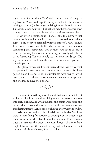signal or service out there. That's right—even today if you go to my favorite "X marks the spot" place, you had better be fine with talking to yourself, or better yet , talking face-to-face with others. I know it sounds daunting, but believe me, there are other ways to stay connected than with batteries and signal strength bars.

Now, when I think about Alliance Lake, the memory that comes rushing back to me first is one that was told to me (that's right—I did not even personally witness this one). How strange! It was one of those times in life when someone tells you about something that happened, and because you spent so much time in that very location, you can imagine exactly what he or she is describing. You can vividly see it in your mind's eye. The sights, the sounds, and even the smells are as real as if you were there in person.

But please remember, I wasn't there. Maybe that is why what happened will never leave me—not even for a moment. As I have gotten older, life and all its circumstances have finally slowed down, which has allowed those characters known as perspective and wisdom to have their chance.



There wasn't anything special about that late summer day at Alliance Lake. It was the time of day when late afternoon passes into early evening, and when the light and colors are so vivid and perfect that artists and photographers only dream of capturing this fleeting image. Gentle breezes allowed every weeping willow tree to bend down and take their final drink for the day. Swallows were in their flying formations, swooping over the water to get their last meal for their families back at the nest. For the water bugs that escaped this siege, there was always a chance to hear a splash from a fish that ended his day with a lucky strike that did not include any hooks, lines, or sinkers.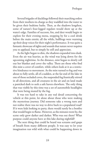Several brigades of ducklings followed their marching orders from their mothers-in-charge as they waddled into the water to be given their bedtime baths. Then, as the shadows lengthen, some of nature's four-legged regulars would show up at the water's edge. Families of raccoon, fox, and deer would begin to explore for their evening menu, stopping by for a cool drink before the main entrée; all the while, bullfrogs were warming up their deep voices for their night's performance. It was quite a fantastic showcase of sights and sounds that nature never requires you to applaud, but to simply be still and appreciate.

As the light began to dim, the shadows expanded into dusk. Even the air was heavier, as the wind was lying down for the upcoming nighttime. In the distance, mist began to slowly roll out her blanket and cover the valley. There are those who find this mist a cover of comfort, while others look at it as a restrictive hindrance to movement. As the mist turned to fog and was about to fully settle, all of a sudden, at the far end of the lake in one of those secluded coves, the suspended fog frantically stirred in all directions, and all creatures in the air and on land made a panicked dash to seek a safe haven elsewhere. The only thing that was visible by this time was a set of automobile headlights that were being muted by the fog.

It was too hard to take in any real detail concerning the vehicle at this point, let alone about those who were making the mysterious journey. Did someone take a wrong turn and not realize there was no way to drive back to a populated road? If it were kids looking to party, there would surely be a bonfire that would begin to flame. However, as the minutes went by, the scene only grew darker and darker. Who was out there? What purpose could anyone have at this lake during nightfall?

The next thing that could be heard was screams and gasps of breath from many different people. It was easy to let your imagination run wild with what could be happening down in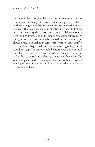that cove as the screams and gasps turned to silence. About the time when you thought the worst, the clouds parted briefly to let the moonlight reveal something more. Again, the silence was broken with a ferocious amount of splashing, water bubbling, and churning everywhere. Arms and legs were flailing about in never-ending attempts to find refuge on something stable. Just as the light from the silvery moon began to shine the brightest, the clouds closed in to act like an eighteenth-century candle snuffer.

The light disappeared, but the sounds of gasping for air would not stop. The sounds could be heard over and over until the silence returned and nature's cadence resumed. Someone had to be responsible for what just happened, but who? The vehicle's lights could be seen again, but now only the two red rear lights were visible, leaving like a snake slithering off with his beady eyes fixed.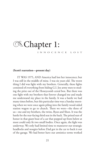### **Exchapter 1:**

INNOCENCE LOST

#### **(Scott's narration—present day)**

IT WAS 1975, AND America had lost her innocence; but I was still in the middle of mine. I was six years old. The worst thing I did was fight with my brothers. Generally, these fights consisted of everything from hiding G.I. Joe army men to stealing the prize out of the Honeycomb cereal box. But there was one fight with my brothers that forever changed me and made me understand my place in the family. It was a battle we had many times before, but this particular time was a Sunday morning when we were once again piling into the family wood-sided station wagon to go to church. There we were—the three of us—me and my brothers, the twins, Ryan and Shon. It was the battle for the rear-facing third seat in the back. The prized seat of honor in that giant boat of a car that popped up from below at most could only fit two small bodies. Once again, the fight was underway. We only had limited time to maneuver our strategic headlocks and noogies before Dad got in the car to back it out of the garage. We had better have our armistice terms worked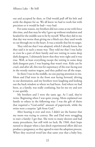out and accepted by then, or Dad would pull off his belt and settle the dispute for us. We all knew we had to work fast with precision or it would be bad—very bad.

For some reason, my brothers did not come at me with force this time, and that may be why I gave up without retaliation and headed for the middle seat to be by myself. What they did to me that day was worse than giving me a black eye; they used words to cut through me to the heart. It was a missile that hit its target.

They told me that I was adopted, which I already knew, but they said it in such a mean way. They told me that I was lucky to even be a part of their family and not rotting in some deep dark dungeon. I ultimately knew that they were right and it was true. Well, at least everything except the rotting in some deep dark dungeon part; I was hoping that wasn't true. Kids can be cruel, and after all, this was for supremacy of the rear-facing seat in the woody station wagon, and they pulled out all the stops.

So there I was in the middle, no one paying attention to me. Mom and Dad were in the front seat facing forward, driving to our destination, and my brothers were laughing and looking out the back window at where we had been. And where we had been, as a family, was really confusing, but let me try and sort it out quickly.

My brothers and I were the same age. As I said, they're twins. Beginning when I was quite young, Mom explained our family to others in the following way: I was the gift of theirs that required a "God-awful" amount of paperwork, while the twins were a surprise "gift from God."

After hearing it over and over, I didn't see the humor that my mom was trying to convey. She and Dad were struggling to start a family; I get that. She went to many doctors and had many procedures, but still with no luck. By 1968, their hope turned to despair when a last-ditch experimental effort did not produce a pregnancy, so they agreed to start the adoption process. When they received word late that same year that a baby boy,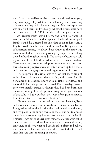me—Scott— would be available to them by early in the new year, they were happy. I figured it was only a few nights after receiving this news that they in fact became pregnant. Maybe the pressure was finally off them, and well, *surprise*! Yes, the twins were born later that same year in 1969, and the Huff family totaled five.

As I realized much later in life, the one thing I really wanted was unconditional love and acceptance. I wished my adopted family would have treated me like that of an Indian-captive English boy during the French and Indian War. Being a student of American history, I've always been drawn to the many true accounts of Indian tribes taking young boys captive after killing their families during frontier raids. The boys then became the sole replacement for a child they had lost due to disease or warfare. There was a very common adoption ceremony that was performed: a young captive was taken into a stream up to his waist, and then the young squaws would begin to wash him down.

The purpose of this ritual was to show that every drop of white blood had been washed out of him, and he was officially a member of the Indian family, with all rights, privileges, and responsibilities as the person he replaced. From that day forward, they were literally treated as though they had been born into the tribe; nothing short of a prisoner swap would get them out of this culture, but even then, there was often great reluctance from the captive to return to "civilization."

 I learned early on that the pecking order was the twins, Ryan and Shon, first, followed by me. And after that last car-seat battle, I resigned myself to the fact that they had indeed won the war, and my place in the family was to be there, but not too much there. I could come along, but my best role was to be the family historian. I was not to be a reporter, mind you, for reporters asked questions and were curious. I knew my place. I was a historian, only there to observe what had already taken place; and believe me, there was a lot more history to share. Ironically, it started later that very same morning in church.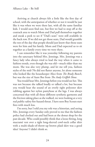Arriving at church always felt a little like the first day of school, with the anticipation of whether or not it would be just like it was when we were there last, with all the same familiar kids. I would soon find out, but first we had to stop off at the coatrack area to watch Mom and Dad pull themselves together and sneak a peek to see if "Dad's seats" were still available in the back row. If we did not get those seats, Dad would grumble the rest of the day that people should just know that those seats were for him and his family. Mom and Dad expected us to sit together as a family every time we were there.

I can remember like it was yesterday following my parents into the sanctuary behind Mrs. Jennings. Mrs. Jennings was a fancy lady who always tried to lead the way when it came to fashion trends, even though she was old—much older than my mom. She was also very plump, and let me tell you, fashion styles of the mid-70s did not flatter anyone, let alone someone who looked like the housekeeper Alice from *The Brady Bunch*, but was the size of Aunt Bee from *The Andy Griffith Show*.

You would hear Mrs. Jennings before you would see her. This was not because she talked loudly or talked a lot, but because you would hear the sound of an overly tight polyester skirt rubbing against her nylon pantyhose at the legs. I was always concerned that with all those different synthetic garments and the friction taking place as she walked, we were looking at a very real public-safety fire-hazard threat. I have seen Boy Scouts start fires with much less.

I'm sorry, but I told you my role was a historian, and seeing Mrs. Jennings every Sunday only proved to me that the fashion police had clocked out and had been at the donut shop for the past decade. Who could possibly think that a loose-fitting, long macramé vest over a tight long-sleeved cowl-neck collar shirt with a multi-shade-of-throw-up brown plaid skirt was a good idea? Anyone? I didn't think so.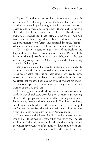I guess I could also mention her hairdo while I'm at it. It was not just Mrs. Jennings, but most ladies at that church had hairdos that were huge. I thought hair for a woman was supposed to adorn them and complement them. Well to me as a child, the older ladies at my church all looked like they were trying to create shade for those sitting around them. Their hair was either very high, very wide, or both. And to achieve these sculpted masterpieces of girth, they spent all day at the "beauty" salon undergoing various follicle torture treatments and devices.

The results were hairdos in the styles of the Beehive, the Flip, and the Bouffant, or combinations thereof. Picture Dolly Parton in the mid-70s from the hair up. Believe me—the hair was the only comparison to Dolly. They sure didn't look or sing like Miss Dolly (sigh).

Anyway, even in a stiff breeze, the individual hairs could only manage to move in unison due to the amount of aerosol-released hairspray, or better yet, glue on their head. Now I really know who created the ozone problem and ushered in the greenhouse gas effect that we have been dealing with. It was not big industrial factories spewing carbon monoxide smog, but those vain women of the 60s and 70s!

Once we got our seat, the thing I would notice most was the smell. Maybe church seats are called pews because you are sitting close to other people and you can smell everything about them. For instance, there was the Conrad family. They lived on a farm, and I knew exactly who fed the animals that very morning. I don't think they realized that wiping their shoes off in the grass a few times does not qualify for clean Sunday shoes.

Then there was the Stevens family. They had a never-ending row of kids. It seemed like every other week they had another kid in tow. Besides the number of bodies in that family, I think they must have been one of the final holdouts to use cloth diapers over disposable. Their infants and toddlers would never be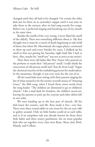changed until they all had to be changed. I'm certain the older kids just let them sit in yesterday's supper until it was time to take them to the nursery, after we had sung exactly five songs. Believe me, I perfected singing and breathing out of my mouth at the same time.

Besides the smells of the very young, I never liked the smell of the elderly. There was something different about it. My first thought was it must be a touch of death beginning to take hold of them, but when Mr. Moorehead, the organ player, continued to show up each and every Sunday for years, I chalked up his smell to him not getting his Saturday night bath like I had to have. Also, maybe his "smell test" was not as strict as my mom's.

Then there were old ladies like Mrs. Frazer who poured on the perfume to mask their "old person" smell. I really think the concoction of old person smell and "Eau de Avon Lady" began the chemical reaction of the embalming process for undertakers. In the meantime, though, it was very toxic for the rest of us.

All the usual kids were sitting with their parents singing the last of what seemed to be the twenty-seventh stanza of "Amazing Grace," the fifth song, when I heard those sweet words from the song leader: "The children are dismissed to go to children's church." Like a mad dash for freedom, the children raced out, leaving the parents to pick up the crayons and other debris left in our wake.

We were heading up to the best part of church. All the kids knew the routine, and Mr. Ross made it fun—very fun. There were three round tables in our room for the six-year-olds to gather around. Only six little bodies could sit at each table, and as if an unspoken rule was already known by those three little ladies and three ornery gentlemen, the six most popular kids who sat together every class were Ryan, Shon, Joel, Beth, Mandy, and Colleen.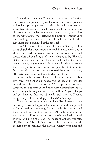I would consider myself friends with those six popular kids, but I was never popular. I guess I was too quiet to be popular, so I took my place right next to their table and listened to every word they said and every laugh they uttered. In fact, everyone else from the other tables was focused on their table, too. It just felt more interesting, more relevant, and more fun. Occasionally, they would get me involved with their table, but I still had to remember that I belonged at the other table.

I don't know what it was about this certain Sunday at children's church that I remember it so well, but Mr. Ross came in after we had settled into our usual seats at our usual tables and started class off by asking us if we were happy today. The kids at the popular table screamed and carried on like they were beyond happy, maybe even a little more wild and crazy because they were glad to be away from their parents for an hour. So Mr. Ross, with a very serious tone started the lesson by saying, "If you're happy and you know it, clap your hands."

Immediately, everyone knew that his tone was a trick, but it worked. We clapped our hands, but the kids at the popular table showed the most animation. We clapped when we were supposed to, but their entire bodies were noisemakers. As we went through the song and got to the final line, "If you're happy and you know it, then your face will surely show it. If you're happy and you know it, clap your hands." *Clap, clap*.

Then the next verse came up and Mr. Ross looked at Shon and sang, "If you're happy and you know it," and then paused so Shon could say something. Shon thought for a second and then blurted out, "Stomp your feet!" At the beginning of the next verse, Mr. Ross looked at Ryan, who immediately chimed in with "Spin in a circle!" Next, he looked at Colleen, who said, "Fly like a bird!" By this time, those at the popular table made it their right to continue the pattern. Mandy went next and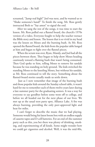screamed, "Jump real high!" Joel was next, and he wanted us to "Shake someone's hand!" To finish the song, Mr. Ross gently instructed Beth to "Say amen" to signal the end.

After we sang the rest of the songs, it was time to start the lesson. Mr. Ross pulled out a flannel board, the church's 1970s version of a video. Everyone fought to help the teacher reenact the Bible story and lesson. The lesson that is so vivid in my head was the lesson on Moses and the burning bush. As Mr. Ross opened the flannel board, the kids from the popular table lunged at him and began to fight over the flannel pieces.

When the scrum was over, Ryan, Mandy, and Joel had all the pieces between them. They began to help show Moses heading cautiously toward a flaming bush that wasn't being consumed. Then God spoke to him, telling Moses to remove his sandals because he was standing on holy ground. The kids switched the standing Moses to the kneeling Moses, but without his sandals, as Mr. Ross continued to tell the story. Something about the flannel-board stories usually made us settle down.

 Just as I now remember that image of the burning bush and those popular kids around the Sunday school table, it wasn't hard for me to remember each of them twelve years later during a late summer party for the graduating seniors. It was a way for everyone to say goodbye before some went off to college, and before we all headed out for the next phase of our lives. We met up at the usual teen party spot, Alliance Lake. A fire was always burning, providing the only peer-approved light and heat for miles.

I can't forget to describe the music that we had playing. Someone would bring his latest boom box with an endless supply of cassette tapes and D-cell batteries. For an end-of-the-summer party such as this, you bet there was plenty of drinking, smoking, and experimenting of all kinds. Some might wonder how we could get cigarettes and alcohol. Well, it was the mid-80s,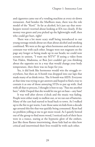and cigarettes came out of a vending machine at every sit-down restaurant. And besides the Marlboro man, there was the role model of the "Kool." As far as alcohol, let's just say that storekeepers weren't worried about looking at IDs too closely. If the money was green and you picked up the lightweight stuff, then who could get hurt, right?

There was a lot more scary stuff being introduced to our young teenage minds about sex than about alcohol and smoking combined. We were at the age when hormones and morals are at constant war with each other. Images were not stagnant on the page any longer or being made up in our heads; we could now scream in unison, "I want my MTV!" If seeing a video from Van Halen, Madonna, or Bon Jovi couldn't get you thinking about the opposite sex in a way that would change your body temperature, then there was no hope for you.

Yes, it did look like hormones would win the struggle everywhere, but then an A-bomb was dropped into our laps that made many of us think twice. The A-bomb was AIDS. Everyone at that time was trying to get answers and hoped to find a way to contain it as one of those annoying STDs to put up with. And with all that to process, I thought it best to say, "Pass me another beer," while I hoped that she would let me get on base—any base!

It was well after eleven o'clock and the music was fading. People were either ready to mellow out, or we ran out of batteries. Many of the cars had started to head back to town. As I walked up to the fire to get warm, I saw those same six kids from a decade ago around this fire that was quickly being consumed. Ryan had no problem yelling at me to get more wood. As I quietly bowed out of the group to find more wood, I noticed each of their faces were in a trance, staring at the hypnotic glow of the embers. Just like those flames intertwining, those kids had no idea how critical and intertwined their lives would be with each other.